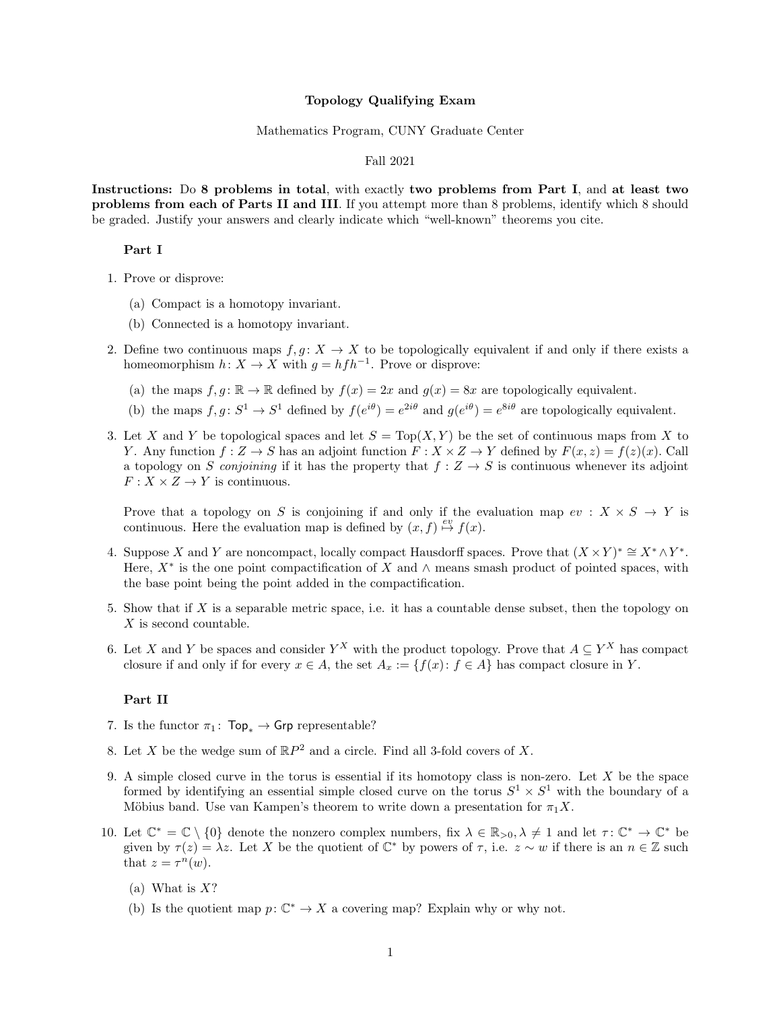#### Topology Qualifying Exam

#### Mathematics Program, CUNY Graduate Center

# Fall 2021

Instructions: Do 8 problems in total, with exactly two problems from Part I, and at least two problems from each of Parts II and III. If you attempt more than 8 problems, identify which 8 should be graded. Justify your answers and clearly indicate which "well-known" theorems you cite.

# Part I

- 1. Prove or disprove:
	- (a) Compact is a homotopy invariant.
	- (b) Connected is a homotopy invariant.
- 2. Define two continuous maps  $f, g: X \to X$  to be topologically equivalent if and only if there exists a homeomorphism  $h: X \to X$  with  $g = h f h^{-1}$ . Prove or disprove:
	- (a) the maps  $f, g : \mathbb{R} \to \mathbb{R}$  defined by  $f(x) = 2x$  and  $g(x) = 8x$  are topologically equivalent.
	- (b) the maps  $f, g \colon S^1 \to S^1$  defined by  $f(e^{i\theta}) = e^{2i\theta}$  and  $g(e^{i\theta}) = e^{8i\theta}$  are topologically equivalent.
- 3. Let X and Y be topological spaces and let  $S = Top(X, Y)$  be the set of continuous maps from X to Y. Any function  $f: Z \to S$  has an adjoint function  $F: X \times Z \to Y$  defined by  $F(x, z) = f(z)(x)$ . Call a topology on S conjoining if it has the property that  $f: Z \to S$  is continuous whenever its adjoint  $F: X \times Z \rightarrow Y$  is continuous.

Prove that a topology on S is conjoining if and only if the evaluation map  $ev : X \times S \to Y$  is continuous. Here the evaluation map is defined by  $(x, f) \stackrel{ev}{\mapsto} f(x)$ .

- 4. Suppose X and Y are noncompact, locally compact Hausdorff spaces. Prove that  $(X \times Y)^* \cong X^* \wedge Y^*$ . Here,  $X^*$  is the one point compactification of X and  $\wedge$  means smash product of pointed spaces, with the base point being the point added in the compactification.
- 5. Show that if  $X$  is a separable metric space, i.e. it has a countable dense subset, then the topology on X is second countable.
- 6. Let X and Y be spaces and consider  $Y^X$  with the product topology. Prove that  $A \subseteq Y^X$  has compact closure if and only if for every  $x \in A$ , the set  $A_x := \{f(x) : f \in A\}$  has compact closure in Y.

#### Part II

- 7. Is the functor  $\pi_1$ : Top<sub>\*</sub> → Grp representable?
- 8. Let X be the wedge sum of  $\mathbb{R}P^2$  and a circle. Find all 3-fold covers of X.
- 9. A simple closed curve in the torus is essential if its homotopy class is non-zero. Let  $X$  be the space formed by identifying an essential simple closed curve on the torus  $S^1 \times S^1$  with the boundary of a Möbius band. Use van Kampen's theorem to write down a presentation for  $\pi_1 X$ .
- 10. Let  $\mathbb{C}^* = \mathbb{C} \setminus \{0\}$  denote the nonzero complex numbers, fix  $\lambda \in \mathbb{R}_{>0}, \lambda \neq 1$  and let  $\tau : \mathbb{C}^* \to \mathbb{C}^*$  be given by  $\tau(z) = \lambda z$ . Let X be the quotient of  $\mathbb{C}^*$  by powers of  $\tau$ , i.e.  $z \sim w$  if there is an  $n \in \mathbb{Z}$  such that  $z = \tau^n(w)$ .
	- (a) What is  $X$ ?
	- (b) Is the quotient map  $p: \mathbb{C}^* \to X$  a covering map? Explain why or why not.